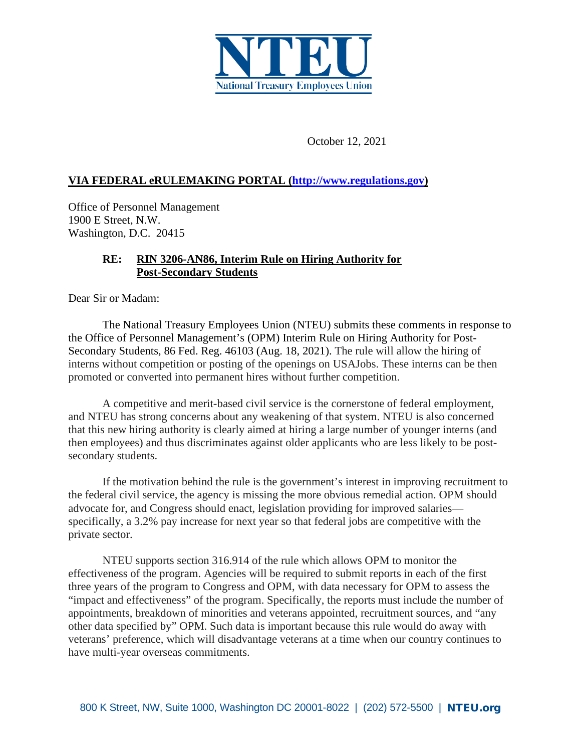

October 12, 2021

## **VIA FEDERAL eRULEMAKING PORTAL [\(http://www.regulations.gov\)](http://www.regulations.gov/)**

Office of Personnel Management 1900 E Street, N.W. Washington, D.C. 20415

## **RE: RIN 3206-AN86, Interim Rule on Hiring Authority for Post-Secondary Students**

Dear Sir or Madam:

The National Treasury Employees Union (NTEU) submits these comments in response to the Office of Personnel Management's (OPM) Interim Rule on Hiring Authority for Post-Secondary Students, 86 Fed. Reg. 46103 (Aug. 18, 2021). The rule will allow the hiring of interns without competition or posting of the openings on USAJobs. These interns can be then promoted or converted into permanent hires without further competition.

A competitive and merit-based civil service is the cornerstone of federal employment, and NTEU has strong concerns about any weakening of that system. NTEU is also concerned that this new hiring authority is clearly aimed at hiring a large number of younger interns (and then employees) and thus discriminates against older applicants who are less likely to be postsecondary students.

If the motivation behind the rule is the government's interest in improving recruitment to the federal civil service, the agency is missing the more obvious remedial action. OPM should advocate for, and Congress should enact, legislation providing for improved salaries specifically, a 3.2% pay increase for next year so that federal jobs are competitive with the private sector.

NTEU supports section 316.914 of the rule which allows OPM to monitor the effectiveness of the program. Agencies will be required to submit reports in each of the first three years of the program to Congress and OPM, with data necessary for OPM to assess the "impact and effectiveness" of the program. Specifically, the reports must include the number of appointments, breakdown of minorities and veterans appointed, recruitment sources, and "any other data specified by" OPM. Such data is important because this rule would do away with veterans' preference, which will disadvantage veterans at a time when our country continues to have multi-year overseas commitments.